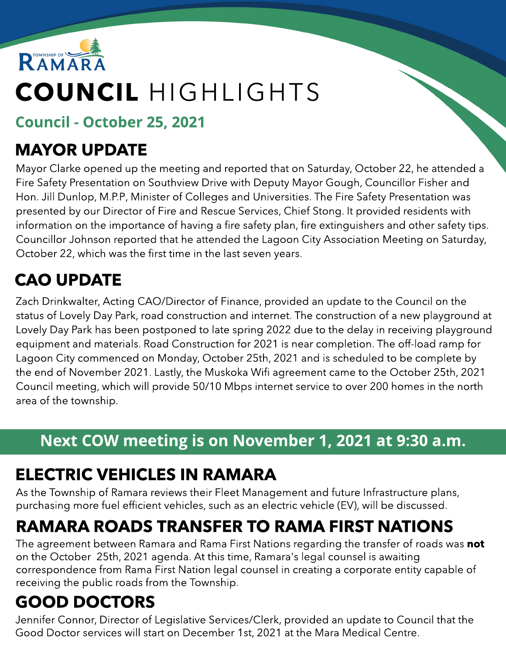

# COUNCIL HIGHLIGHTS

### Council - October 25, 2021

### MAYOR UPDATE

Mayor Clarke opened up the meeting and reported that on Saturday, October 22, he attended a Fire Safety Presentation on Southview Drive with Deputy Mayor Gough, Councillor Fisher and Hon. Jill Dunlop, M.P.P, Minister of Colleges and Universities. The Fire Safety Presentation was presented by our Director of Fire and Rescue Services, Chief Stong. It provided residents with information on the importance of having a fire safety plan, fire extinguishers and other safety tips. Councillor Johnson reported that he attended the Lagoon City Association Meeting on Saturday, October 22, which was the first time in the last seven years.

# CAO UPDATE

Zach Drinkwalter, Acting CAO/Director of Finance, provided an update to the Council on the status of Lovely Day Park, road construction and internet. The construction of a new playground at Lovely Day Park has been postponed to late spring 2022 due to the delay in receiving playground equipment and materials. Road Construction for 2021 is near completion. The off-load ramp for Lagoon City commenced on Monday, October 25th, 2021 and is scheduled to be complete by the end of November 2021. Lastly, the Muskoka Wifi agreement came to the October 25th, 2021 Council meeting, which will provide 50/10 Mbps internet service to over 200 homes in the north area of the township.

### Next COW meeting is on November 1, 2021 at 9:30 a.m.

# ELECTRIC VEHICLES IN RAMARA

As the Township of Ramara reviews their Fleet Management and future Infrastructure plans, purchasing more fuel efficient vehicles, such as an electric vehicle (EV), will be discussed.

# RAMARA ROADS TRANSFER TO RAMA FIRST NATIONS

The agreement between Ramara and Rama First Nations regarding the transfer of roads was not on the October 25th, 2021 agenda. At this time, Ramara's legal counsel is awaiting correspondence from Rama First Nation legal counsel in creating a corporate entity capable of receiving the public roads from the Township.

# GOOD DOCTORS

Jennifer Connor, Director of Legislative Services/Clerk, provided an update to Council that the Good Doctor services will start on December 1st, 2021 at the Mara Medical Centre.